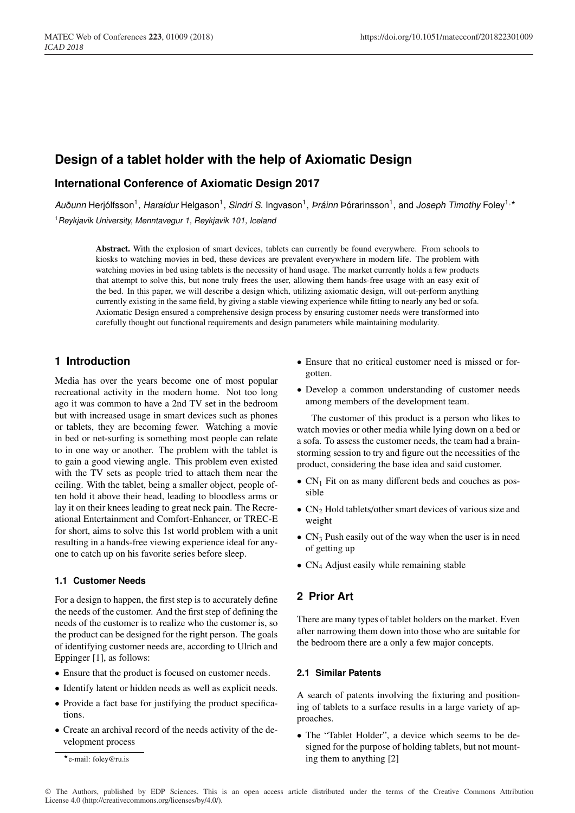# **Design of a tablet holder with the help of Axiomatic Design**

## **International Conference of Axiomatic Design 2017**

Auðunn Herjólfsson<sup>1</sup>, *Haraldur* Helgason<sup>1</sup>, *Sindri S.* Ingvason<sup>1</sup>, *Práinn* Þórarinsson<sup>1</sup>, and Joseph Timothy Foley<sup>1,\*</sup> <sup>1</sup>*Reykjavik University, Menntavegur 1, Reykjavik 101, Iceland*

Abstract. With the explosion of smart devices, tablets can currently be found everywhere. From schools to kiosks to watching movies in bed, these devices are prevalent everywhere in modern life. The problem with watching movies in bed using tablets is the necessity of hand usage. The market currently holds a few products that attempt to solve this, but none truly frees the user, allowing them hands-free usage with an easy exit of the bed. In this paper, we will describe a design which, utilizing axiomatic design, will out-perform anything currently existing in the same field, by giving a stable viewing experience while fitting to nearly any bed or sofa. Axiomatic Design ensured a comprehensive design process by ensuring customer needs were transformed into carefully thought out functional requirements and design parameters while maintaining modularity.

## **1 Introduction**

Media has over the years become one of most popular recreational activity in the modern home. Not too long ago it was common to have a 2nd TV set in the bedroom but with increased usage in smart devices such as phones or tablets, they are becoming fewer. Watching a movie in bed or net-surfing is something most people can relate to in one way or another. The problem with the tablet is to gain a good viewing angle. This problem even existed with the TV sets as people tried to attach them near the ceiling. With the tablet, being a smaller object, people often hold it above their head, leading to bloodless arms or lay it on their knees leading to great neck pain. The Recreational Entertainment and Comfort-Enhancer, or TREC-E for short, aims to solve this 1st world problem with a unit resulting in a hands-free viewing experience ideal for anyone to catch up on his favorite series before sleep.

## **1.1 Customer Needs**

For a design to happen, the first step is to accurately define the needs of the customer. And the first step of defining the needs of the customer is to realize who the customer is, so the product can be designed for the right person. The goals of identifying customer needs are, according to Ulrich and Eppinger [1], as follows:

- Ensure that the product is focused on customer needs.
- Identify latent or hidden needs as well as explicit needs.
- Provide a fact base for justifying the product specifications.
- Create an archival record of the needs activity of the development process
- Ensure that no critical customer need is missed or forgotten.
- Develop a common understanding of customer needs among members of the development team.

The customer of this product is a person who likes to watch movies or other media while lying down on a bed or a sofa. To assess the customer needs, the team had a brainstorming session to try and figure out the necessities of the product, considering the base idea and said customer.

- $CN_1$  Fit on as many different beds and couches as possible
- $CN<sub>2</sub>$  Hold tablets/other smart devices of various size and weight
- $CN_3$  Push easily out of the way when the user is in need of getting up
- CN<sub>4</sub> Adjust easily while remaining stable

## **2 Prior Art**

There are many types of tablet holders on the market. Even after narrowing them down into those who are suitable for the bedroom there are a only a few major concepts.

### **2.1 Similar Patents**

A search of patents involving the fixturing and positioning of tablets to a surface results in a large variety of approaches.

• The "Tablet Holder", a device which seems to be designed for the purpose of holding tablets, but not mounting them to anything [2]

e-mail: foley@ru.is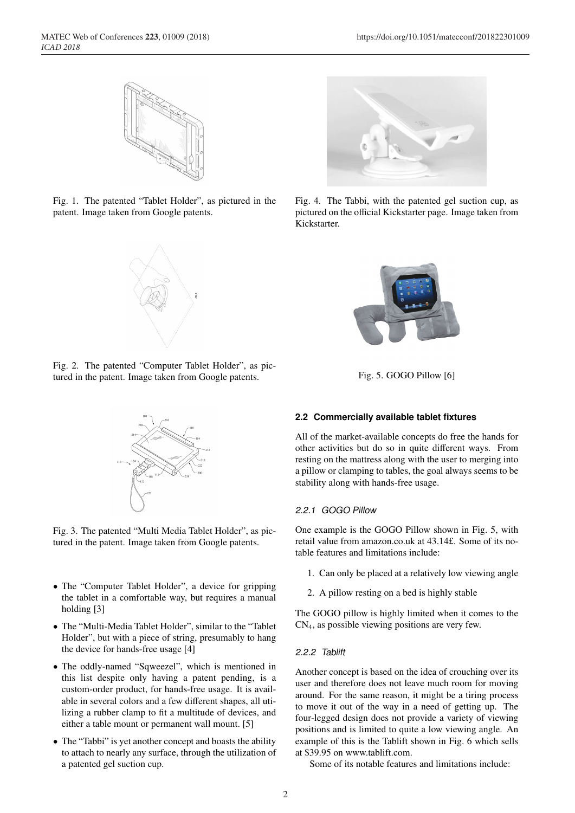

Fig. 1. The patented "Tablet Holder", as pictured in the patent. Image taken from Google patents.



Fig. 2. The patented "Computer Tablet Holder", as pictured in the patent. Image taken from Google patents.



Fig. 3. The patented "Multi Media Tablet Holder", as pictured in the patent. Image taken from Google patents.

- The "Computer Tablet Holder", a device for gripping the tablet in a comfortable way, but requires a manual holding [3]
- The "Multi-Media Tablet Holder", similar to the "Tablet Holder", but with a piece of string, presumably to hang the device for hands-free usage [4]
- The oddly-named "Sqweezel", which is mentioned in this list despite only having a patent pending, is a custom-order product, for hands-free usage. It is available in several colors and a few different shapes, all utilizing a rubber clamp to fit a multitude of devices, and either a table mount or permanent wall mount. [5]
- The "Tabbi" is yet another concept and boasts the ability to attach to nearly any surface, through the utilization of a patented gel suction cup.



Fig. 4. The Tabbi, with the patented gel suction cup, as pictured on the official Kickstarter page. Image taken from Kickstarter.



Fig. 5. GOGO Pillow [6]

### **2.2 Commercially available tablet fixtures**

All of the market-available concepts do free the hands for other activities but do so in quite different ways. From resting on the mattress along with the user to merging into a pillow or clamping to tables, the goal always seems to be stability along with hands-free usage.

#### *2.2.1 GOGO Pillow*

One example is the GOGO Pillow shown in Fig. 5, with retail value from amazon.co.uk at 43.14£. Some of its notable features and limitations include:

- 1. Can only be placed at a relatively low viewing angle
- 2. A pillow resting on a bed is highly stable

The GOGO pillow is highly limited when it comes to the CN4, as possible viewing positions are very few.

#### *2.2.2 Tablift*

Another concept is based on the idea of crouching over its user and therefore does not leave much room for moving around. For the same reason, it might be a tiring process to move it out of the way in a need of getting up. The four-legged design does not provide a variety of viewing positions and is limited to quite a low viewing angle. An example of this is the Tablift shown in Fig. 6 which sells at \$39.95 on www.tablift.com.

Some of its notable features and limitations include: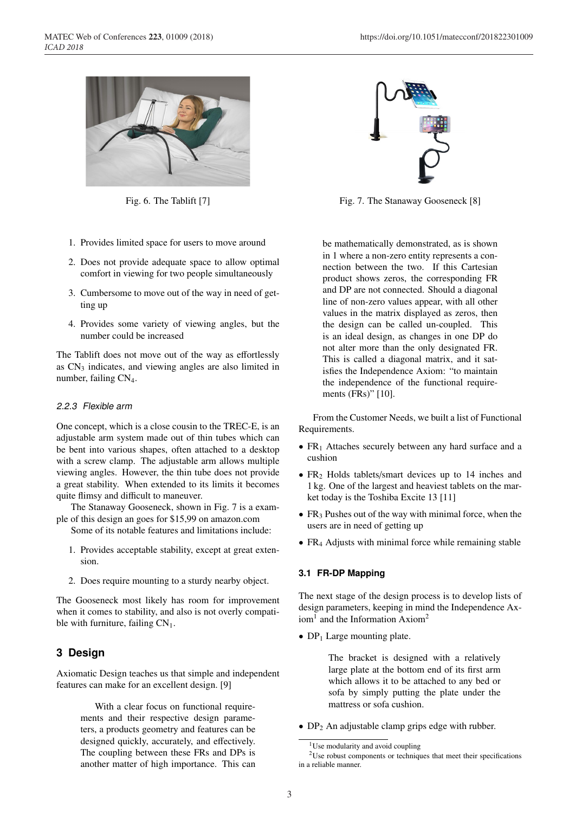

Fig. 6. The Tablift [7]

- 1. Provides limited space for users to move around
- 2. Does not provide adequate space to allow optimal comfort in viewing for two people simultaneously
- 3. Cumbersome to move out of the way in need of getting up
- 4. Provides some variety of viewing angles, but the number could be increased

The Tablift does not move out of the way as effortlessly as CN3 indicates, and viewing angles are also limited in number, failing CN<sub>4</sub>.

#### *2.2.3 Flexible arm*

One concept, which is a close cousin to the TREC-E, is an adjustable arm system made out of thin tubes which can be bent into various shapes, often attached to a desktop with a screw clamp. The adjustable arm allows multiple viewing angles. However, the thin tube does not provide a great stability. When extended to its limits it becomes quite flimsy and difficult to maneuver.

The Stanaway Gooseneck, shown in Fig. 7 is a example of this design an goes for \$15,99 on amazon.com

Some of its notable features and limitations include:

- 1. Provides acceptable stability, except at great extension.
- 2. Does require mounting to a sturdy nearby object.

The Gooseneck most likely has room for improvement when it comes to stability, and also is not overly compatible with furniture, failing  $CN<sub>1</sub>$ .

## **3 Design**

Axiomatic Design teaches us that simple and independent features can make for an excellent design. [9]

> With a clear focus on functional requirements and their respective design parameters, a products geometry and features can be designed quickly, accurately, and effectively. The coupling between these FRs and DPs is another matter of high importance. This can



Fig. 7. The Stanaway Gooseneck [8]

be mathematically demonstrated, as is shown in 1 where a non-zero entity represents a connection between the two. If this Cartesian product shows zeros, the corresponding FR and DP are not connected. Should a diagonal line of non-zero values appear, with all other values in the matrix displayed as zeros, then the design can be called un-coupled. This is an ideal design, as changes in one DP do not alter more than the only designated FR. This is called a diagonal matrix, and it satisfies the Independence Axiom: "to maintain the independence of the functional requirements (FRs)" [10].

From the Customer Needs, we built a list of Functional Requirements.

- $FR<sub>1</sub>$  Attaches securely between any hard surface and a cushion
- FR<sub>2</sub> Holds tablets/smart devices up to 14 inches and 1 kg. One of the largest and heaviest tablets on the market today is the Toshiba Excite 13 [11]
- $FR<sub>3</sub>$  Pushes out of the way with minimal force, when the users are in need of getting up
- FR<sub>4</sub> Adjusts with minimal force while remaining stable

### **3.1 FR-DP Mapping**

The next stage of the design process is to develop lists of design parameters, keeping in mind the Independence Ax $i$ om<sup>1</sup> and the Information Axiom<sup>2</sup>

•  $DP_1$  Large mounting plate.

The bracket is designed with a relatively large plate at the bottom end of its first arm which allows it to be attached to any bed or sofa by simply putting the plate under the mattress or sofa cushion.

•  $DP_2$  An adjustable clamp grips edge with rubber.

<sup>&</sup>lt;sup>1</sup>Use modularity and avoid coupling

<sup>2</sup>Use robust components or techniques that meet their specifications in a reliable manner.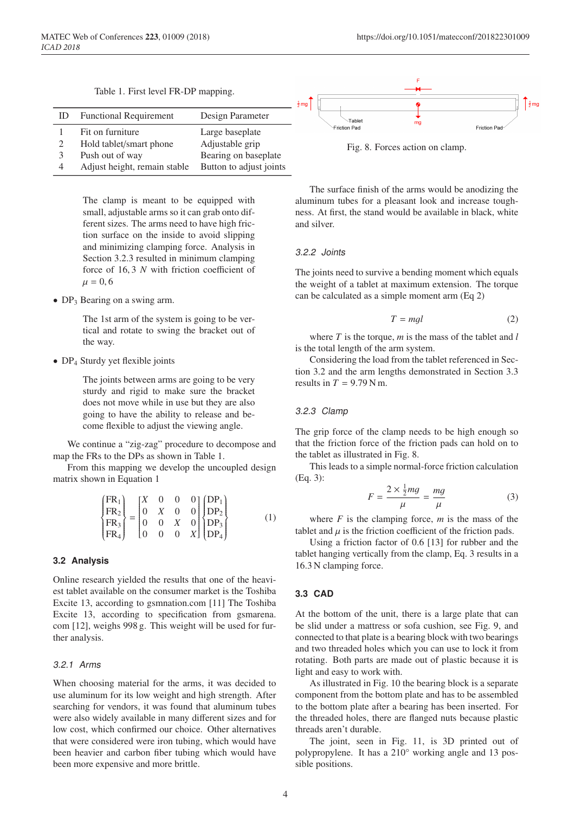Table 1. First level FR-DP mapping.

| ID          | <b>Functional Requirement</b>                                                                  | Design Parameter                                                                      |
|-------------|------------------------------------------------------------------------------------------------|---------------------------------------------------------------------------------------|
| 2<br>3<br>4 | Fit on furniture<br>Hold tablet/smart phone<br>Push out of way<br>Adjust height, remain stable | Large baseplate<br>Adjustable grip<br>Bearing on baseplate<br>Button to adjust joints |

The clamp is meant to be equipped with small, adjustable arms so it can grab onto different sizes. The arms need to have high friction surface on the inside to avoid slipping and minimizing clamping force. Analysis in Section 3.2.3 resulted in minimum clamping force of 16, 3 *N* with friction coefficient of  $\mu = 0, 6$ 

• DP<sub>3</sub> Bearing on a swing arm.

The 1st arm of the system is going to be vertical and rotate to swing the bracket out of the way.

• DP<sub>4</sub> Sturdy yet flexible joints

The joints between arms are going to be very sturdy and rigid to make sure the bracket does not move while in use but they are also going to have the ability to release and become flexible to adjust the viewing angle.

We continue a "zig-zag" procedure to decompose and map the FRs to the DPs as shown in Table 1.

From this mapping we develop the uncoupled design matrix shown in Equation 1

$$
\begin{Bmatrix} FR_1 \\ FR_2 \\ FR_3 \\ FR_4 \end{Bmatrix} = \begin{bmatrix} X & 0 & 0 & 0 \\ 0 & X & 0 & 0 \\ 0 & 0 & X & 0 \\ 0 & 0 & 0 & X \end{bmatrix} \begin{Bmatrix} DP_1 \\ DP_2 \\ DP_3 \\ DP_4 \end{Bmatrix}
$$
 (1)

#### **3.2 Analysis**

Online research yielded the results that one of the heaviest tablet available on the consumer market is the Toshiba Excite 13, according to gsmnation.com [11] The Toshiba Excite 13, according to specification from gsmarena. com [12], weighs 998 g. This weight will be used for further analysis.

#### *3.2.1 Arms*

When choosing material for the arms, it was decided to use aluminum for its low weight and high strength. After searching for vendors, it was found that aluminum tubes were also widely available in many different sizes and for low cost, which confirmed our choice. Other alternatives that were considered were iron tubing, which would have been heavier and carbon fiber tubing which would have been more expensive and more brittle.

The surface finish of the arms would be anodizing the aluminum tubes for a pleasant look and increase toughness. At first, the stand would be available in black, white and silver.

#### *3.2.2 Joints*

The joints need to survive a bending moment which equals the weight of a tablet at maximum extension. The torque can be calculated as a simple moment arm (Eq 2)

$$
T = mgl \tag{2}
$$

where *T* is the torque, *m* is the mass of the tablet and *l* is the total length of the arm system.

Considering the load from the tablet referenced in Section 3.2 and the arm lengths demonstrated in Section 3.3 results in  $T = 9.79$  N m.

#### *3.2.3 Clamp*

The grip force of the clamp needs to be high enough so that the friction force of the friction pads can hold on to the tablet as illustrated in Fig. 8.

This leads to a simple normal-force friction calculation (Eq. 3):

$$
F = \frac{2 \times \frac{1}{2}mg}{\mu} = \frac{mg}{\mu}
$$
 (3)

where  $F$  is the clamping force,  $m$  is the mass of the tablet and  $\mu$  is the friction coefficient of the friction pads.

Using a friction factor of 0.6 [13] for rubber and the tablet hanging vertically from the clamp, Eq. 3 results in a 16.3 N clamping force.

#### **3.3 CAD**

At the bottom of the unit, there is a large plate that can be slid under a mattress or sofa cushion, see Fig. 9, and connected to that plate is a bearing block with two bearings and two threaded holes which you can use to lock it from rotating. Both parts are made out of plastic because it is light and easy to work with.

As illustrated in Fig. 10 the bearing block is a separate component from the bottom plate and has to be assembled to the bottom plate after a bearing has been inserted. For the threaded holes, there are flanged nuts because plastic threads aren't durable.

The joint, seen in Fig. 11, is 3D printed out of polypropylene. It has a 210° working angle and 13 possible positions.

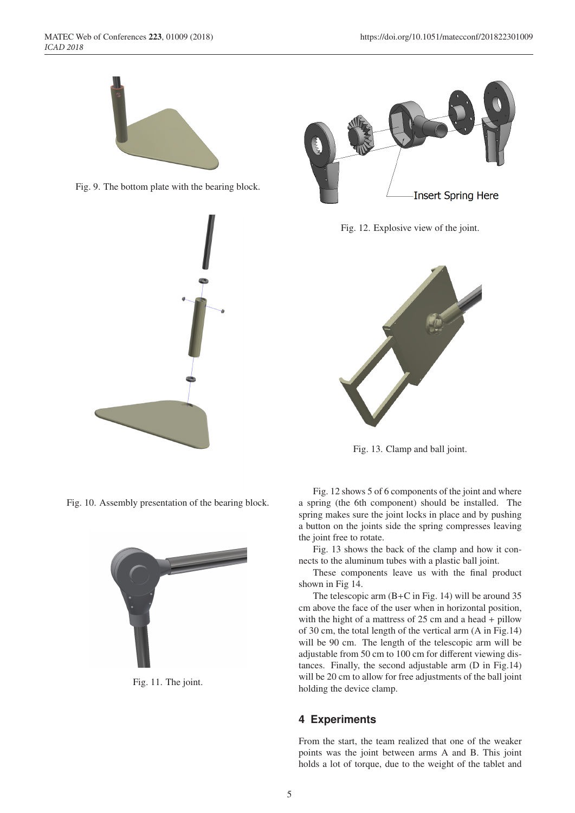









Fig. 11. The joint.



Fig. 12. Explosive view of the joint.



Fig. 13. Clamp and ball joint.

Fig. 12 shows 5 of 6 components of the joint and where a spring (the 6th component) should be installed. The spring makes sure the joint locks in place and by pushing a button on the joints side the spring compresses leaving the joint free to rotate.

Fig. 13 shows the back of the clamp and how it connects to the aluminum tubes with a plastic ball joint.

These components leave us with the final product shown in Fig 14.

The telescopic arm (B+C in Fig. 14) will be around 35 cm above the face of the user when in horizontal position, with the hight of a mattress of 25 cm and a head + pillow of 30 cm, the total length of the vertical arm (A in Fig.14) will be 90 cm. The length of the telescopic arm will be adjustable from 50 cm to 100 cm for different viewing distances. Finally, the second adjustable arm (D in Fig.14) will be 20 cm to allow for free adjustments of the ball joint holding the device clamp.

## **4 Experiments**

From the start, the team realized that one of the weaker points was the joint between arms A and B. This joint holds a lot of torque, due to the weight of the tablet and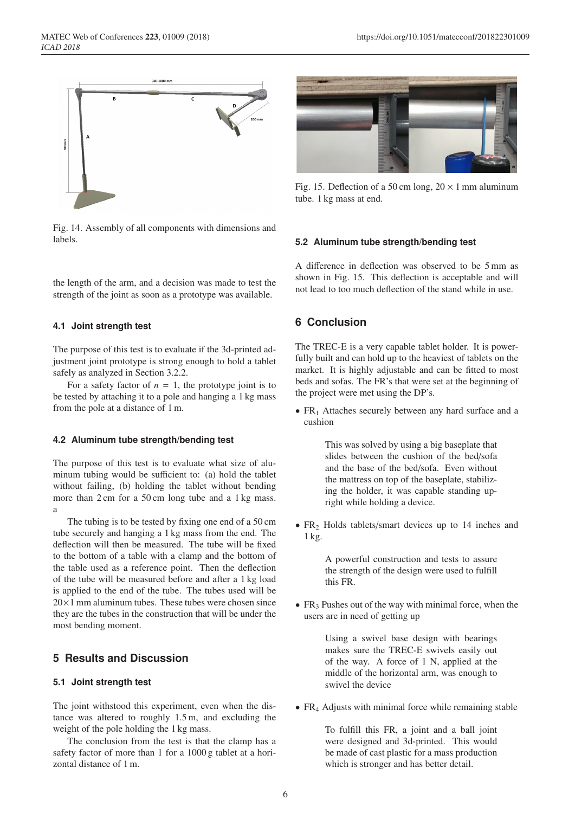

Fig. 14. Assembly of all components with dimensions and labels.

the length of the arm, and a decision was made to test the strength of the joint as soon as a prototype was available.

#### **4.1 Joint strength test**

The purpose of this test is to evaluate if the 3d-printed adjustment joint prototype is strong enough to hold a tablet safely as analyzed in Section 3.2.2.

For a safety factor of  $n = 1$ , the prototype joint is to be tested by attaching it to a pole and hanging a 1 kg mass from the pole at a distance of 1 m.

## **4.2 Aluminum tube strength/bending test**

The purpose of this test is to evaluate what size of aluminum tubing would be sufficient to: (a) hold the tablet without failing, (b) holding the tablet without bending more than 2 cm for a 50 cm long tube and a 1 kg mass. a

The tubing is to be tested by fixing one end of a 50 cm tube securely and hanging a 1 kg mass from the end. The deflection will then be measured. The tube will be fixed to the bottom of a table with a clamp and the bottom of the table used as a reference point. Then the deflection of the tube will be measured before and after a 1 kg load is applied to the end of the tube. The tubes used will be  $20\times1$  mm aluminum tubes. These tubes were chosen since they are the tubes in the construction that will be under the most bending moment.

#### **5 Results and Discussion**

#### **5.1 Joint strength test**

The joint withstood this experiment, even when the distance was altered to roughly 1.5 m, and excluding the weight of the pole holding the 1 kg mass.

The conclusion from the test is that the clamp has a safety factor of more than 1 for a 1000 g tablet at a horizontal distance of 1 m.



Fig. 15. Deflection of a 50 cm long,  $20 \times 1$  mm aluminum tube. 1 kg mass at end.

#### **5.2 Aluminum tube strength/bending test**

A difference in deflection was observed to be 5 mm as shown in Fig. 15. This deflection is acceptable and will not lead to too much deflection of the stand while in use.

## **6 Conclusion**

The TREC-E is a very capable tablet holder. It is powerfully built and can hold up to the heaviest of tablets on the market. It is highly adjustable and can be fitted to most beds and sofas. The FR's that were set at the beginning of the project were met using the DP's.

• FR<sub>1</sub> Attaches securely between any hard surface and a cushion

> This was solved by using a big baseplate that slides between the cushion of the bed/sofa and the base of the bed/sofa. Even without the mattress on top of the baseplate, stabilizing the holder, it was capable standing upright while holding a device.

•  $FR<sub>2</sub>$  Holds tablets/smart devices up to 14 inches and 1 kg.

> A powerful construction and tests to assure the strength of the design were used to fulfill this FR.

•  $FR<sub>3</sub>$  Pushes out of the way with minimal force, when the users are in need of getting up

> Using a swivel base design with bearings makes sure the TREC-E swivels easily out of the way. A force of 1 N, applied at the middle of the horizontal arm, was enough to swivel the device

• FR<sub>4</sub> Adjusts with minimal force while remaining stable

To fulfill this FR, a joint and a ball joint were designed and 3d-printed. This would be made of cast plastic for a mass production which is stronger and has better detail.